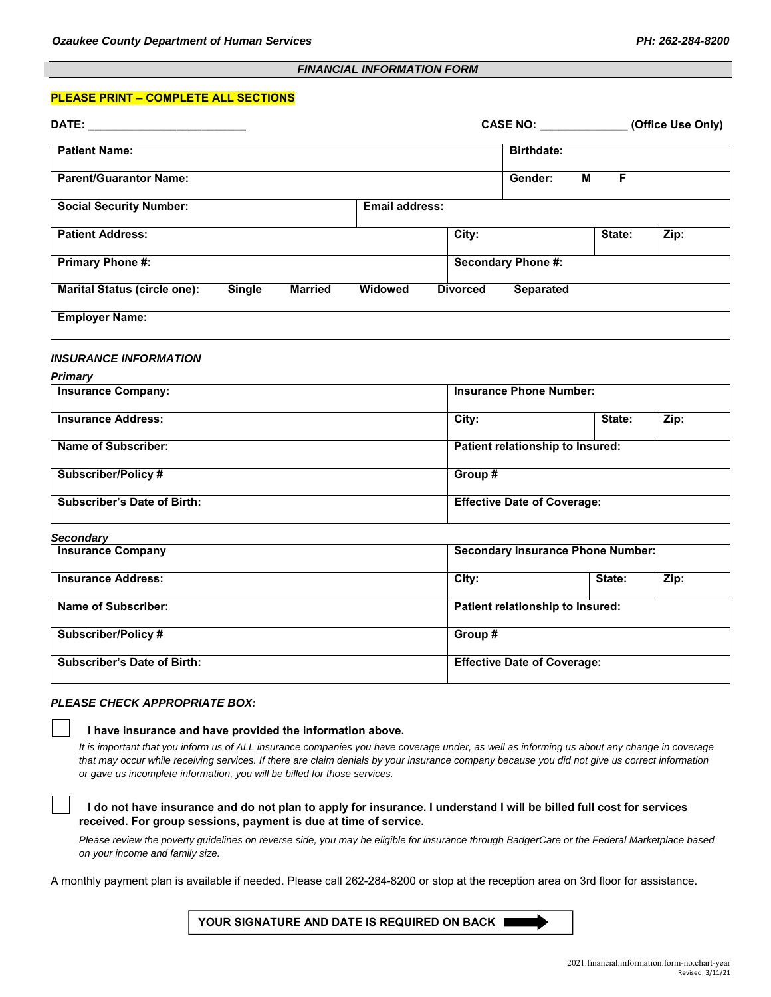# *FINANCIAL INFORMATION FORM*

## **PLEASE PRINT – COMPLETE ALL SECTIONS**

| DATE: and the state of the state of the state of the state of the state of the state of the state of the state of the state of the state of the state of the state of the state of the state of the state of the state of the |        |                |                           |                 |                                          |        | CASE NO: (Office Use Only) |  |
|-------------------------------------------------------------------------------------------------------------------------------------------------------------------------------------------------------------------------------|--------|----------------|---------------------------|-----------------|------------------------------------------|--------|----------------------------|--|
| <b>Patient Name:</b>                                                                                                                                                                                                          |        |                |                           |                 | <b>Birthdate:</b>                        |        |                            |  |
| <b>Parent/Guarantor Name:</b>                                                                                                                                                                                                 |        |                |                           |                 | Gender:                                  | F<br>М |                            |  |
| <b>Social Security Number:</b>                                                                                                                                                                                                |        |                | <b>Email address:</b>     |                 |                                          |        |                            |  |
| <b>Patient Address:</b>                                                                                                                                                                                                       |        |                |                           | City:           |                                          | State: | $\overline{Zip: }$         |  |
| <b>Primary Phone #:</b>                                                                                                                                                                                                       |        |                | <b>Secondary Phone #:</b> |                 |                                          |        |                            |  |
| <b>Marital Status (circle one):</b>                                                                                                                                                                                           | Single | <b>Married</b> | Widowed                   | <b>Divorced</b> | <b>Separated</b>                         |        |                            |  |
| <b>Employer Name:</b>                                                                                                                                                                                                         |        |                |                           |                 |                                          |        |                            |  |
| <b>INSURANCE INFORMATION</b>                                                                                                                                                                                                  |        |                |                           |                 |                                          |        |                            |  |
| <b>Primary</b>                                                                                                                                                                                                                |        |                |                           |                 |                                          |        |                            |  |
| <b>Insurance Company:</b>                                                                                                                                                                                                     |        |                |                           |                 | <b>Insurance Phone Number:</b>           |        |                            |  |
| <b>Insurance Address:</b>                                                                                                                                                                                                     |        |                |                           | City:           |                                          | State: | Zip:                       |  |
| Name of Subscriber:                                                                                                                                                                                                           |        |                |                           |                 | Patient relationship to Insured:         |        |                            |  |
| <b>Subscriber/Policy#</b>                                                                                                                                                                                                     |        |                |                           |                 | Group #                                  |        |                            |  |
| <b>Subscriber's Date of Birth:</b>                                                                                                                                                                                            |        |                |                           |                 | <b>Effective Date of Coverage:</b>       |        |                            |  |
| <b>Secondary</b>                                                                                                                                                                                                              |        |                |                           |                 |                                          |        |                            |  |
| <b>Insurance Company</b>                                                                                                                                                                                                      |        |                |                           |                 | <b>Secondary Insurance Phone Number:</b> |        |                            |  |
| <b>Insurance Address:</b>                                                                                                                                                                                                     |        |                |                           | City:           |                                          | State: | Zip:                       |  |
| <b>Name of Subscriber:</b>                                                                                                                                                                                                    |        |                |                           |                 | Patient relationship to Insured:         |        |                            |  |
| <b>Subscriber/Policy#</b>                                                                                                                                                                                                     |        |                |                           |                 | Group#                                   |        |                            |  |

#### *PLEASE CHECK APPROPRIATE BOX:*

#### **I have insurance and have provided the information above.**

*It is important that you inform us of ALL insurance companies you have coverage under, as well as informing us about any change in coverage that may occur while receiving services. If there are claim denials by your insurance company because you did not give us correct information or gave us incomplete information, you will be billed for those services.*

### **I do not have insurance and do not plan to apply for insurance. I understand I will be billed full cost for services received. For group sessions, payment is due at time of service.**

*Please review the poverty guidelines on reverse side, you may be eligible for insurance through BadgerCare or the Federal Marketplace based on your income and family size.* 

A monthly payment plan is available if needed. Please call 262-284-8200 or stop at the reception area on 3rd floor for assistance.

**YOUR SIGNATURE AND DATE IS REQUIRED ON BACK** 

Subscriber's Date of Birth: **Effective Date of Coverage: Effective Date of Coverage:**